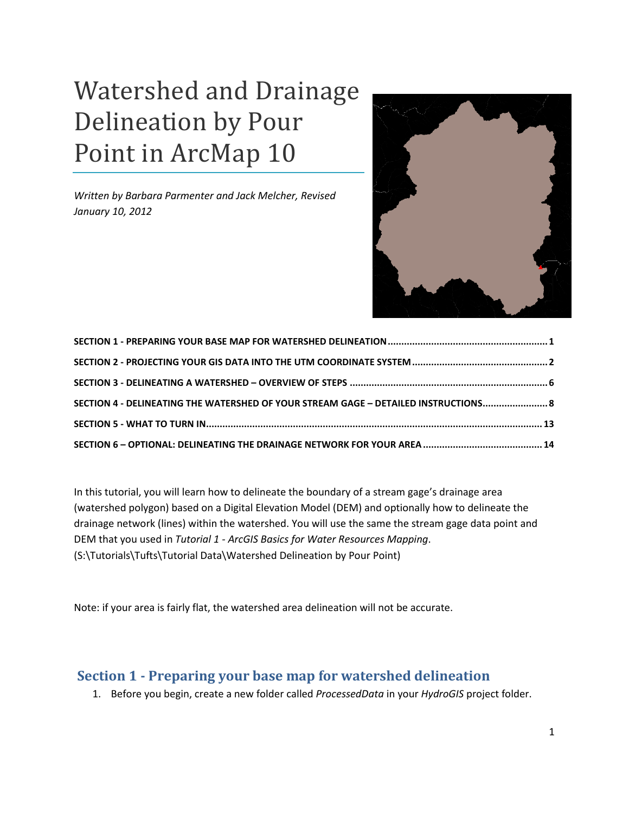# Watershed and Drainage Delineation by Pour Point in ArcMap 10

*Written by Barbara Parmenter and Jack Melcher, Revised January 10, 2012*



| SECTION 4 - DELINEATING THE WATERSHED OF YOUR STREAM GAGE - DETAILED INSTRUCTIONS 8 |  |
|-------------------------------------------------------------------------------------|--|
|                                                                                     |  |
|                                                                                     |  |

In this tutorial, you will learn how to delineate the boundary of a stream gage's drainage area (watershed polygon) based on a Digital Elevation Model (DEM) and optionally how to delineate the drainage network (lines) within the watershed. You will use the same the stream gage data point and DEM that you used in *Tutorial 1 - ArcGIS Basics for Water Resources Mapping*. (S:\Tutorials\Tufts\Tutorial Data\Watershed Delineation by Pour Point)

Note: if your area is fairly flat, the watershed area delineation will not be accurate.

## <span id="page-0-0"></span>**Section 1 - Preparing your base map for watershed delineation**

1. Before you begin, create a new folder called *ProcessedData* in your *HydroGIS* project folder.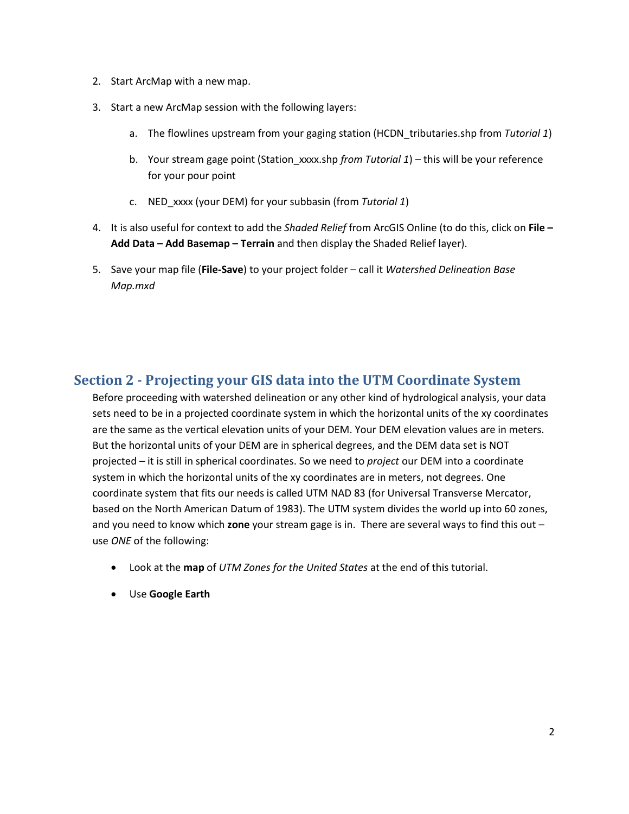- 2. Start ArcMap with a new map.
- 3. Start a new ArcMap session with the following layers:
	- a. The flowlines upstream from your gaging station (HCDN\_tributaries.shp from *Tutorial 1*)
	- b. Your stream gage point (Station\_xxxx.shp *from Tutorial 1*) this will be your reference for your pour point
	- c. NED\_xxxx (your DEM) for your subbasin (from *Tutorial 1*)
- 4. It is also useful for context to add the *Shaded Relief* from ArcGIS Online (to do this, click on **File – Add Data – Add Basemap – Terrain** and then display the Shaded Relief layer).
- 5. Save your map file (**File-Save**) to your project folder call it *Watershed Delineation Base Map.mxd*

## <span id="page-1-0"></span>**Section 2 - Projecting your GIS data into the UTM Coordinate System**

Before proceeding with watershed delineation or any other kind of hydrological analysis, your data sets need to be in a projected coordinate system in which the horizontal units of the xy coordinates are the same as the vertical elevation units of your DEM. Your DEM elevation values are in meters. But the horizontal units of your DEM are in spherical degrees, and the DEM data set is NOT projected – it is still in spherical coordinates. So we need to *project* our DEM into a coordinate system in which the horizontal units of the xy coordinates are in meters, not degrees. One coordinate system that fits our needs is called UTM NAD 83 (for Universal Transverse Mercator, based on the North American Datum of 1983). The UTM system divides the world up into 60 zones, and you need to know which **zone** your stream gage is in. There are several ways to find this out – use *ONE* of the following:

- Look at the **map** of *UTM Zones for the United States* at the end of this tutorial.
- Use **Google Earth**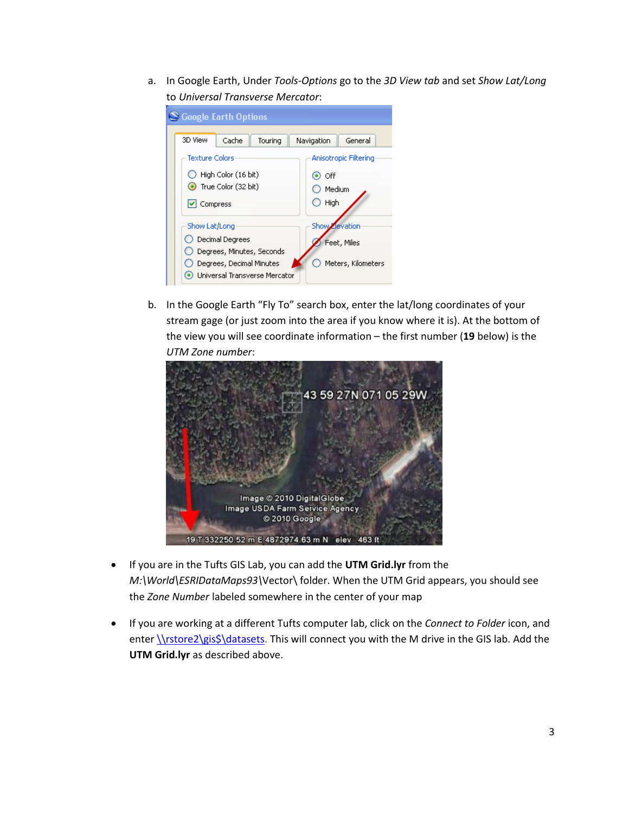a. In Google Earth, Under *Tools-Options* go to the *3D View tab* and set *Show Lat/Long* to *Universal Transverse Mercator*:

|         |          | S Google Earth Options   |                               |            |             |                       |  |
|---------|----------|--------------------------|-------------------------------|------------|-------------|-----------------------|--|
| 3D View |          | Cache                    | Touring                       | Navigation |             | General               |  |
|         |          | <b>Texture Colors</b>    |                               |            |             | Anisotropic Filtering |  |
|         |          | High Color (16 bit)      |                               |            | $\odot$ off |                       |  |
|         |          | True Color (32 bit)      |                               |            | Medium      |                       |  |
|         | Compress |                          |                               |            | High        |                       |  |
|         |          | Show Lat/Long            |                               |            |             | Show Zievation        |  |
|         |          | Decimal Degrees          |                               |            |             | Feet, Miles           |  |
|         |          |                          | Degrees, Minutes, Seconds     |            |             |                       |  |
|         |          | Degrees, Decimal Minutes |                               |            |             | Meters, Kilometers    |  |
|         |          |                          | Universal Transverse Mercator |            |             |                       |  |

b. In the Google Earth "Fly To" search box, enter the lat/long coordinates of your stream gage (or just zoom into the area if you know where it is). At the bottom of the view you will see coordinate information – the first number (**19** below) is the *UTM Zone number*:



- If you are in the Tufts GIS Lab, you can add the **UTM Grid.lyr** from the *M:\World\ESRIDataMaps93\*Vector\ folder. When the UTM Grid appears, you should see the *Zone Number* labeled somewhere in the center of your map
- If you are working at a different Tufts computer lab, click on the *Connect to Folder* icon, and enter \\rstore2\gis\$\datasets</u>. This will connect you with the M drive in the GIS lab. Add the **UTM Grid.lyr** as described above.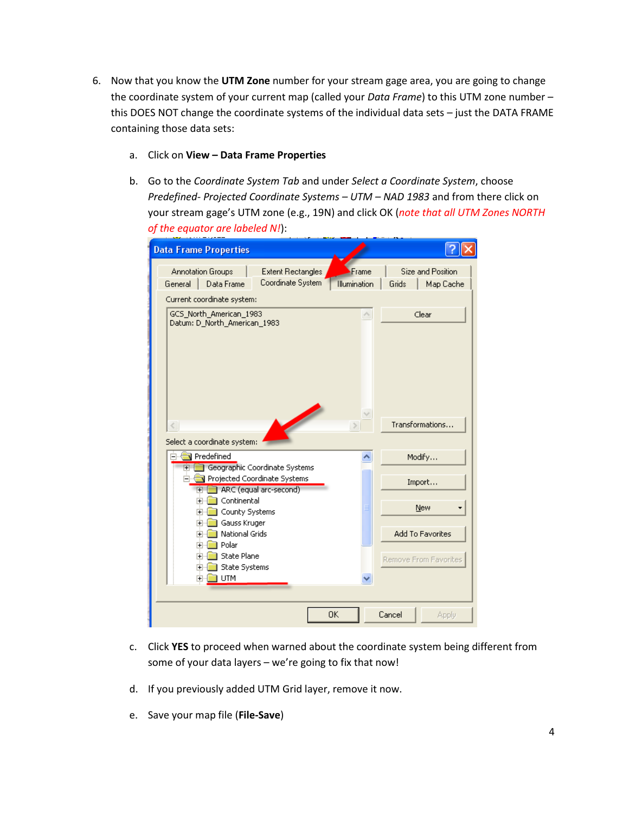- 6. Now that you know the **UTM Zone** number for your stream gage area, you are going to change the coordinate system of your current map (called your *Data Frame*) to this UTM zone number – this DOES NOT change the coordinate systems of the individual data sets – just the DATA FRAME containing those data sets:
	- a. Click on **View – Data Frame Properties**
	- b. Go to the *Coordinate System Tab* and under *Select a Coordinate System*, choose *Predefined- Projected Coordinate Systems – UTM – NAD 1983* and from there click on your stream gage's UTM zone (e.g., 19N) and click OK (*note that all UTM Zones NORTH of the equator are labeled N!*):

| <b>Data Frame Properties</b>                                                                                              |                       |                                         |
|---------------------------------------------------------------------------------------------------------------------------|-----------------------|-----------------------------------------|
| Annotation Groups<br><b>Extent Rectangles</b><br>Coordinate System<br>Data Frame<br>General<br>Current coordinate system: | Frame<br>Illumination | Size and Position<br>Grids<br>Map Cache |
| GCS North American 1983<br>Datum: D_North_American_1983                                                                   | $\curvearrowright$    | Clear                                   |
| $\langle$                                                                                                                 | v                     | Transformations                         |
| Select a coordinate system:                                                                                               |                       |                                         |
| Predefined                                                                                                                |                       | Modify                                  |
| Geographic Coordinate Systems<br>$\overline{+}$<br>Projected Coordinate Systems<br>ARC (equal arc-second)<br>$+$          |                       | Import                                  |
| Continental<br>$\overline{+}$                                                                                             |                       | New                                     |
| County Systems<br><b>F</b><br>Gauss Kruger<br>[∓]…                                                                        |                       |                                         |
| National Grids<br>$\overline{+}$                                                                                          |                       | <b>Add To Favorites</b>                 |
| Polar<br>$\overline{+}$                                                                                                   |                       |                                         |
| State Plane<br>$\overline{+}$                                                                                             |                       | Remove From Favorites                   |
| <b>State Systems</b><br>F-                                                                                                |                       |                                         |
| ) UTM<br>画                                                                                                                |                       |                                         |
|                                                                                                                           |                       |                                         |
|                                                                                                                           | 0K                    | Cancel<br>Apply                         |

- c. Click **YES** to proceed when warned about the coordinate system being different from some of your data layers – we're going to fix that now!
- d. If you previously added UTM Grid layer, remove it now.
- e. Save your map file (**File-Save**)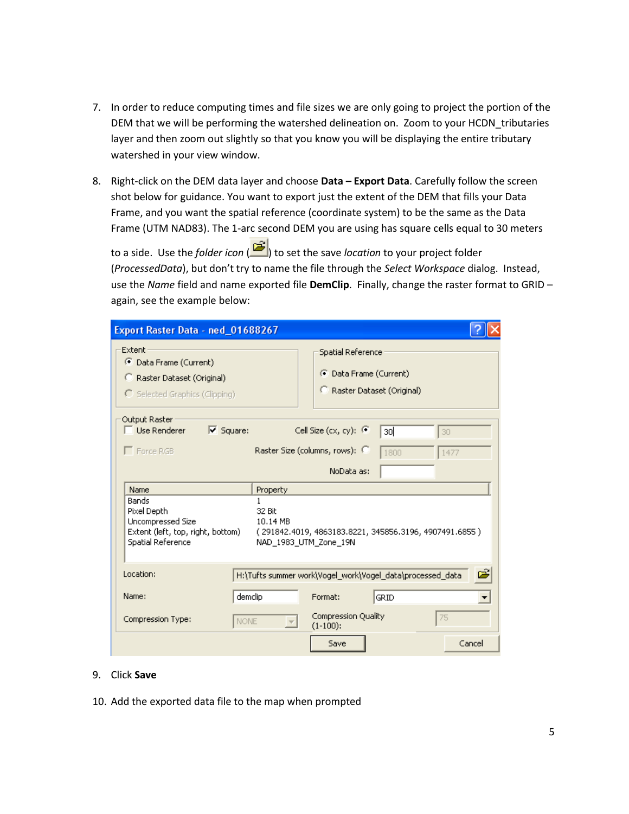- 7. In order to reduce computing times and file sizes we are only going to project the portion of the DEM that we will be performing the watershed delineation on. Zoom to your HCDN\_tributaries layer and then zoom out slightly so that you know you will be displaying the entire tributary watershed in your view window.
- 8. Right-click on the DEM data layer and choose **Data – Export Data**. Carefully follow the screen shot below for guidance. You want to export just the extent of the DEM that fills your Data Frame, and you want the spatial reference (coordinate system) to be the same as the Data Frame (UTM NAD83). The 1-arc second DEM you are using has square cells equal to 30 meters

to a side. Use the *folder icon* ( ) to set the save *location* to your project folder (*ProcessedData*), but don't try to name the file through the *Select Workspace* dialog. Instead, use the *Name* field and name exported file **DemClip**. Finally, change the raster format to GRID – again, see the example below:

| Export Raster Data - ned_01688267                                                                   |                                  |                                                                                       |            |
|-----------------------------------------------------------------------------------------------------|----------------------------------|---------------------------------------------------------------------------------------|------------|
| Extent<br>C Data Frame (Current)<br>Raster Dataset (Original)<br>C Selected Graphics (Clipping)     |                                  | Spatial Reference<br><b>C</b> Data Frame (Current)<br>Raster Dataset (Original)<br>C. |            |
| Output Raster<br>$\Box$ Use Renderer<br>$\triangledown$ Square:<br>Force RGB                        |                                  | Cell Size (cx, cy): $\mathbb{C}$<br>зol<br>Raster Size (columns, rows):<br>1800       | 30<br>1477 |
| Name                                                                                                | Property                         | NoData as:                                                                            |            |
| Bands<br>Pixel Depth<br>Uncompressed Size<br>Extent (left, top, right, bottom)<br>Spatial Reference | 1<br>32 Bit<br>10.14 MB          | (291842.4019, 4863183.8221, 345856.3196, 4907491.6855)<br>NAD 1983 UTM Zone 19N       |            |
| Location:                                                                                           |                                  | H:\Tufts summer work\Vogel_work\Vogel_data\processed_data                             | ć          |
| Name:                                                                                               | demclip                          | Format:<br>GRID                                                                       |            |
| Compression Type:                                                                                   | NONE<br>$\overline{\mathcal{M}}$ | Compression Quality<br>$(1-100)$ :                                                    | 75         |
|                                                                                                     |                                  | Save                                                                                  | Cancel     |

#### 9. Click **Save**

10. Add the exported data file to the map when prompted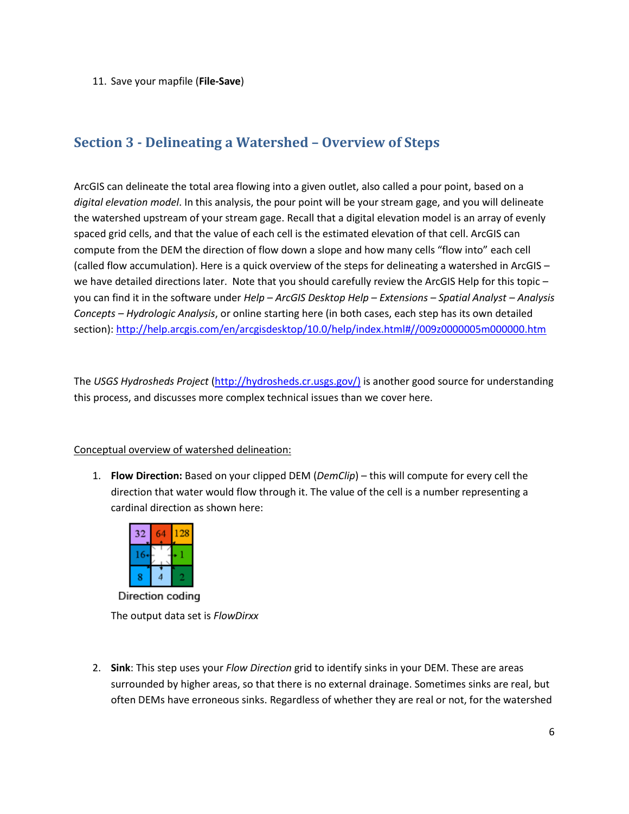11. Save your mapfile (**File-Save**)

# <span id="page-5-0"></span>**Section 3 - Delineating a Watershed – Overview of Steps**

ArcGIS can delineate the total area flowing into a given outlet, also called a pour point, based on a *digital elevation model*. In this analysis, the pour point will be your stream gage, and you will delineate the watershed upstream of your stream gage. Recall that a digital elevation model is an array of evenly spaced grid cells, and that the value of each cell is the estimated elevation of that cell. ArcGIS can compute from the DEM the direction of flow down a slope and how many cells "flow into" each cell (called flow accumulation). Here is a quick overview of the steps for delineating a watershed in ArcGIS – we have detailed directions later. Note that you should carefully review the ArcGIS Help for this topic you can find it in the software under *Help – ArcGIS Desktop Help – Extensions – Spatial Analyst – Analysis Concepts – Hydrologic Analysis*, or online starting here (in both cases, each step has its own detailed section):<http://help.arcgis.com/en/arcgisdesktop/10.0/help/index.html#//009z0000005m000000.htm>

The *USGS Hydrosheds Project* [\(http://hydrosheds.cr.usgs.gov/\)](http://hydrosheds.cr.usgs.gov/) is another good source for understanding this process, and discusses more complex technical issues than we cover here.

#### Conceptual overview of watershed delineation:

1. **Flow Direction:** Based on your clipped DEM (*DemClip*) – this will compute for every cell the direction that water would flow through it. The value of the cell is a number representing a cardinal direction as shown here:



Direction coding The output data set is *FlowDirxx*

2. **Sink**: This step uses your *Flow Direction* grid to identify sinks in your DEM. These are areas surrounded by higher areas, so that there is no external drainage. Sometimes sinks are real, but often DEMs have erroneous sinks. Regardless of whether they are real or not, for the watershed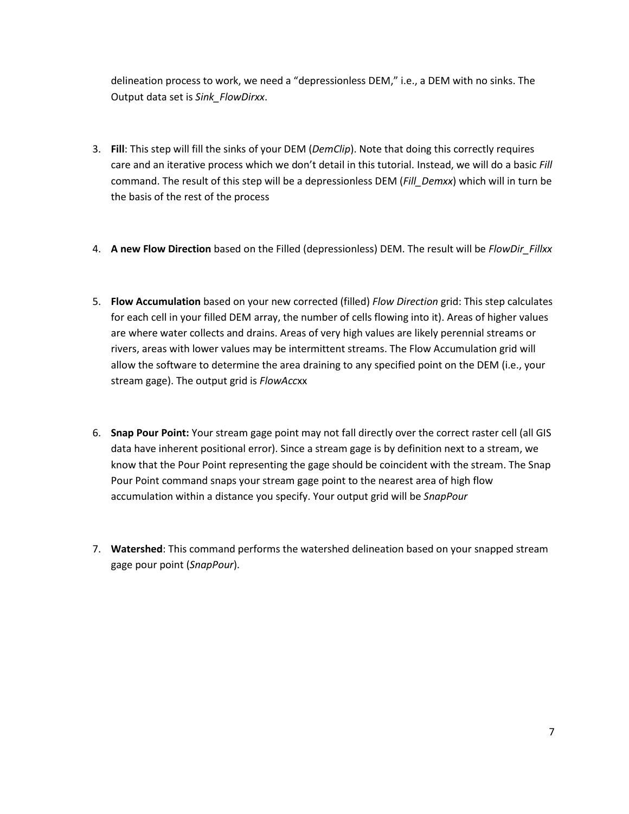delineation process to work, we need a "depressionless DEM," i.e., a DEM with no sinks. The Output data set is *Sink\_FlowDirxx*.

- 3. **Fill**: This step will fill the sinks of your DEM (*DemClip*). Note that doing this correctly requires care and an iterative process which we don't detail in this tutorial. Instead, we will do a basic *Fill* command. The result of this step will be a depressionless DEM (*Fill\_Demxx*) which will in turn be the basis of the rest of the process
- 4. **A new Flow Direction** based on the Filled (depressionless) DEM. The result will be *FlowDir\_Fillxx*
- 5. **Flow Accumulation** based on your new corrected (filled) *Flow Direction* grid: This step calculates for each cell in your filled DEM array, the number of cells flowing into it). Areas of higher values are where water collects and drains. Areas of very high values are likely perennial streams or rivers, areas with lower values may be intermittent streams. The Flow Accumulation grid will allow the software to determine the area draining to any specified point on the DEM (i.e., your stream gage). The output grid is *FlowAcc*xx
- 6. **Snap Pour Point:** Your stream gage point may not fall directly over the correct raster cell (all GIS data have inherent positional error). Since a stream gage is by definition next to a stream, we know that the Pour Point representing the gage should be coincident with the stream. The Snap Pour Point command snaps your stream gage point to the nearest area of high flow accumulation within a distance you specify. Your output grid will be *SnapPour*
- 7. **Watershed**: This command performs the watershed delineation based on your snapped stream gage pour point (*SnapPour*).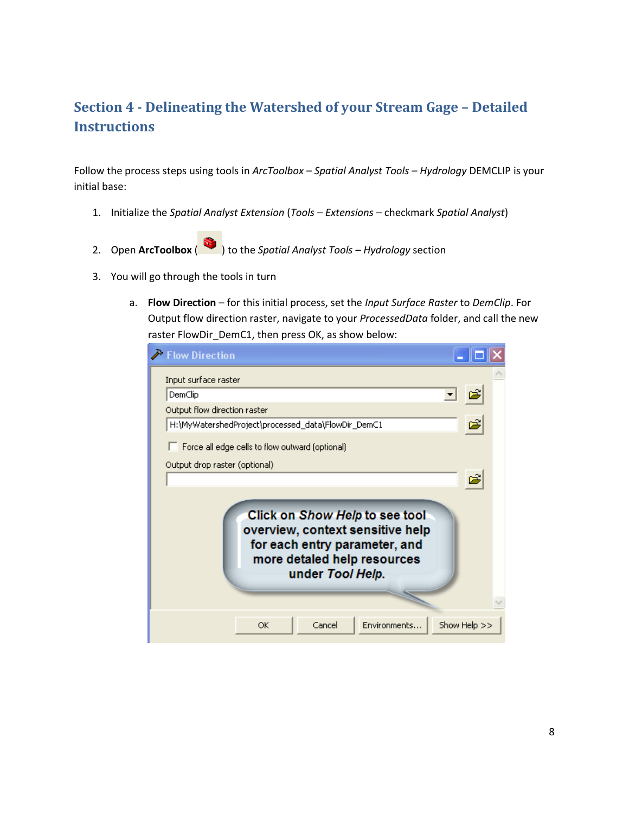# <span id="page-7-0"></span>**Section 4 - Delineating the Watershed of your Stream Gage – Detailed Instructions**

Follow the process steps using tools in *ArcToolbox – Spatial Analyst Tools – Hydrology* DEMCLIP is your initial base:

- 1. Initialize the *Spatial Analyst Extension* (*Tools – Extensions* checkmark *Spatial Analyst*)
- 2. Open **ArcToolbox** ( ) to the *Spatial Analyst Tools – Hydrology* section
- 3. You will go through the tools in turn
	- a. **Flow Direction** for this initial process, set the *Input Surface Raster* to *DemClip*. For Output flow direction raster, navigate to your *ProcessedData* folder, and call the new raster FlowDir\_DemC1, then press OK, as show below:

| <b>Flow Direction</b>                                                                                                                                  |              |
|--------------------------------------------------------------------------------------------------------------------------------------------------------|--------------|
| Input surface raster                                                                                                                                   |              |
| DemClip                                                                                                                                                |              |
| Output flow direction raster                                                                                                                           |              |
| H:\MyWatershedProject\processed_data\FlowDir_DemC1                                                                                                     |              |
| Force all edge cells to flow outward (optional)                                                                                                        |              |
| Output drop raster (optional)                                                                                                                          |              |
|                                                                                                                                                        |              |
| Click on Show Help to see tool<br>overview, context sensitive help<br>for each entry parameter, and<br>more detaled help resources<br>under Tool Help. |              |
| Environments<br>Cancel<br>OK.                                                                                                                          | Show Help >> |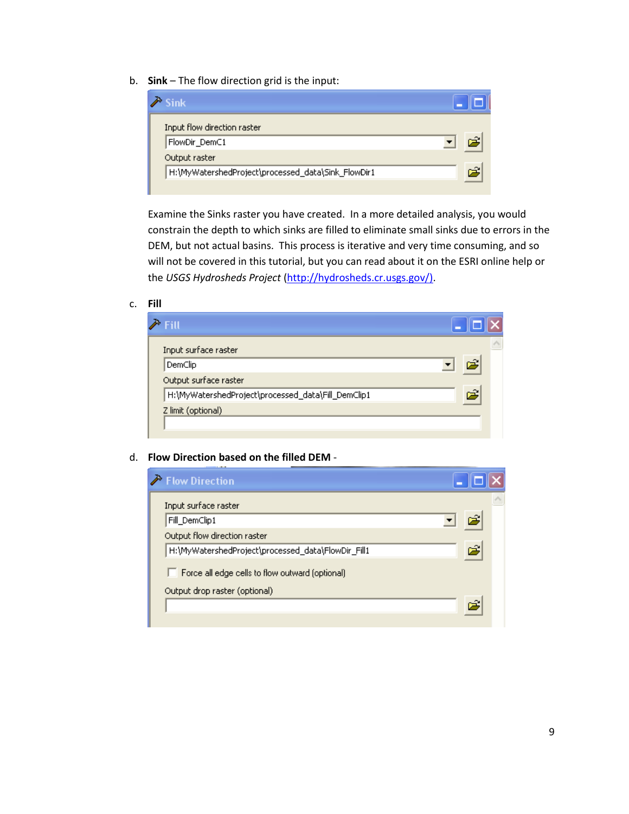b. **Sink** – The flow direction grid is the input:

| <b>Sink</b>                                        |  |
|----------------------------------------------------|--|
| Input flow direction raster<br>FlowDir_DemC1       |  |
| Output raster                                      |  |
| H:\MyWatershedProject\processed_data\Sink_FlowDir1 |  |

Examine the Sinks raster you have created. In a more detailed analysis, you would constrain the depth to which sinks are filled to eliminate small sinks due to errors in the DEM, but not actual basins. This process is iterative and very time consuming, and so will not be covered in this tutorial, but you can read about it on the ESRI online help or the *USGS Hydrosheds Project* [\(http://hydrosheds.cr.usgs.gov/\).](http://hydrosheds.cr.usgs.gov/)

#### c. **Fill**

| <b>Fill</b>                                        |   |  |
|----------------------------------------------------|---|--|
| Input surface raster                               |   |  |
| DemClip                                            |   |  |
| Output surface raster                              |   |  |
| H:\MyWatershedProject\processed_data\Fill_DemClip1 | Ξ |  |
| Z limit (optional)                                 |   |  |
|                                                    |   |  |

#### d. **Flow Direction based on the filled DEM** -

| Flow Direction                                         |   |  |
|--------------------------------------------------------|---|--|
| Input surface raster                                   |   |  |
| Fill_DemClip1                                          |   |  |
| Output flow direction raster                           |   |  |
| H:\MyWatershedProject\processed_data\FlowDir_Fill1     | Â |  |
| $\Box$ Force all edge cells to flow outward (optional) |   |  |
| Output drop raster (optional)                          |   |  |
|                                                        |   |  |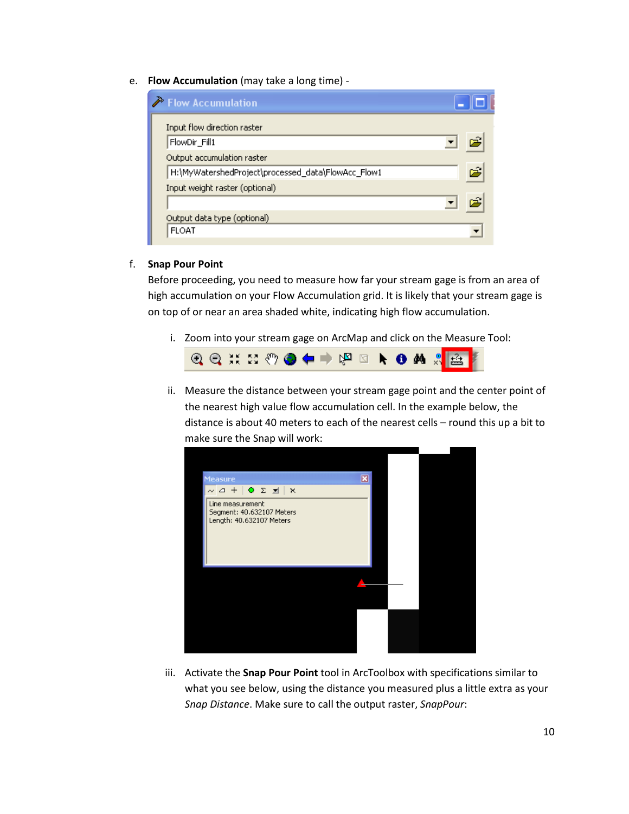e. **Flow Accumulation** (may take a long time) -

| Flow Accumulation                                  |   |
|----------------------------------------------------|---|
| Input flow direction raster                        |   |
| FlowDir_Fill1                                      |   |
| Output accumulation raster                         |   |
| H:\MyWatershedProject\processed_data\FlowAcc_Flow1 | 户 |
| Input weight raster (optional)                     |   |
|                                                    |   |
| Output data type (optional)                        |   |
| <b>FLOAT</b>                                       |   |

#### f. **Snap Pour Point**

Before proceeding, you need to measure how far your stream gage is from an area of high accumulation on your Flow Accumulation grid. It is likely that your stream gage is on top of or near an area shaded white, indicating high flow accumulation.

i. Zoom into your stream gage on ArcMap and click on the Measure Tool:



ii. Measure the distance between your stream gage point and the center point of the nearest high value flow accumulation cell. In the example below, the distance is about 40 meters to each of the nearest cells – round this up a bit to make sure the Snap will work:



iii. Activate the **Snap Pour Point** tool in ArcToolbox with specifications similar to what you see below, using the distance you measured plus a little extra as your *Snap Distance*. Make sure to call the output raster, *SnapPour*: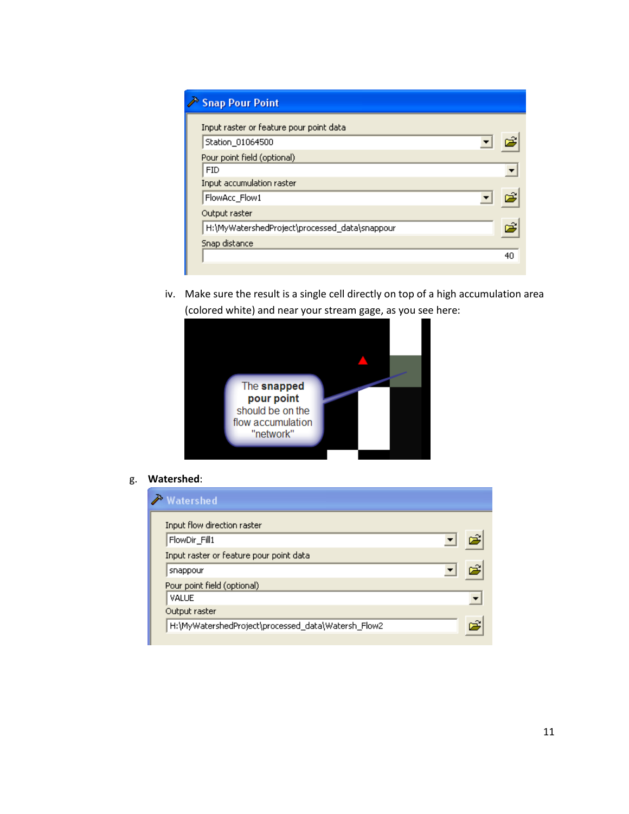| in Snap Pour Point                            |    |
|-----------------------------------------------|----|
| Input raster or feature pour point data       |    |
| Station 01064500                              |    |
| Pour point field (optional)                   |    |
| <b>FID</b>                                    |    |
| Input accumulation raster                     |    |
| FlowAcc_Flow1                                 |    |
| Output raster                                 |    |
| H:\MyWatershedProject\processed_data\snappour | Â, |
| Snap distance                                 |    |
|                                               | 40 |

iv. Make sure the result is a single cell directly on top of a high accumulation area (colored white) and near your stream gage, as you see here:



g. **Watershed**:

| <b>Watershed</b>                                   |  |
|----------------------------------------------------|--|
| Input flow direction raster                        |  |
| FlowDir_Fill1                                      |  |
| Input raster or feature pour point data            |  |
| snappour                                           |  |
| Pour point field (optional)                        |  |
| VALUE                                              |  |
| Output raster                                      |  |
| H:\MyWatershedProject\processed_data\Watersh_Flow2 |  |
|                                                    |  |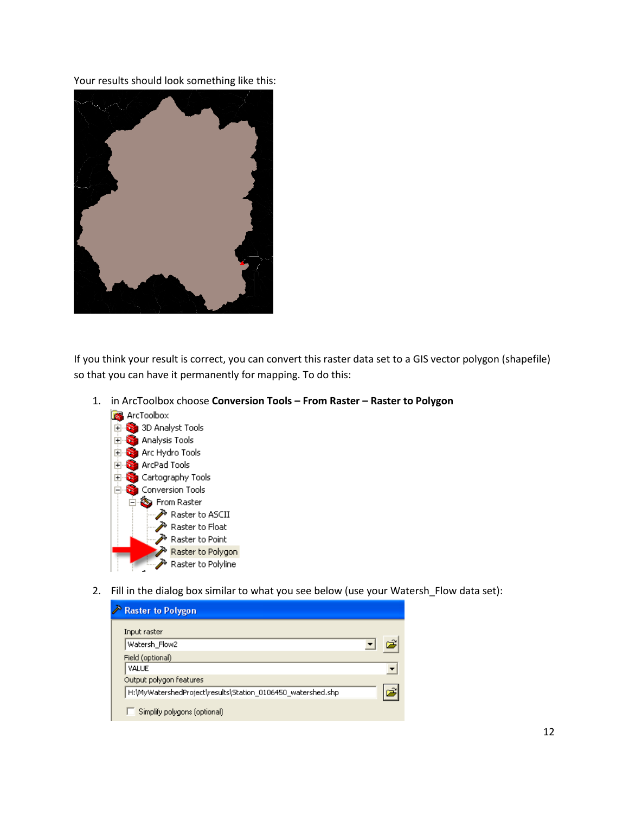Your results should look something like this:



If you think your result is correct, you can convert this raster data set to a GIS vector polygon (shapefile) so that you can have it permanently for mapping. To do this:

- **R** ArcToolbox **D** 3D Analyst Tools **Analysis Tools** Arc Hydro Tools **E** ArcPad Tools Cartography Tools **Conversion Tools** 白 S From Raster Raster to ASCII Raster to Float Raster to Point Raster to Polygon Raster to Polyline
- 1. in ArcToolbox choose **Conversion Tools – From Raster – Raster to Polygon**

2. Fill in the dialog box similar to what you see below (use your Watersh Flow data set):

| Raster to Polygon                                           |  |
|-------------------------------------------------------------|--|
| Input raster                                                |  |
| Watersh_Flow2                                               |  |
| Field (optional)                                            |  |
| VALUE                                                       |  |
| Output polygon features                                     |  |
| H:\MyWatershedProject\results\Station_0106450_watershed.shp |  |
| Simplify polygons (optional)                                |  |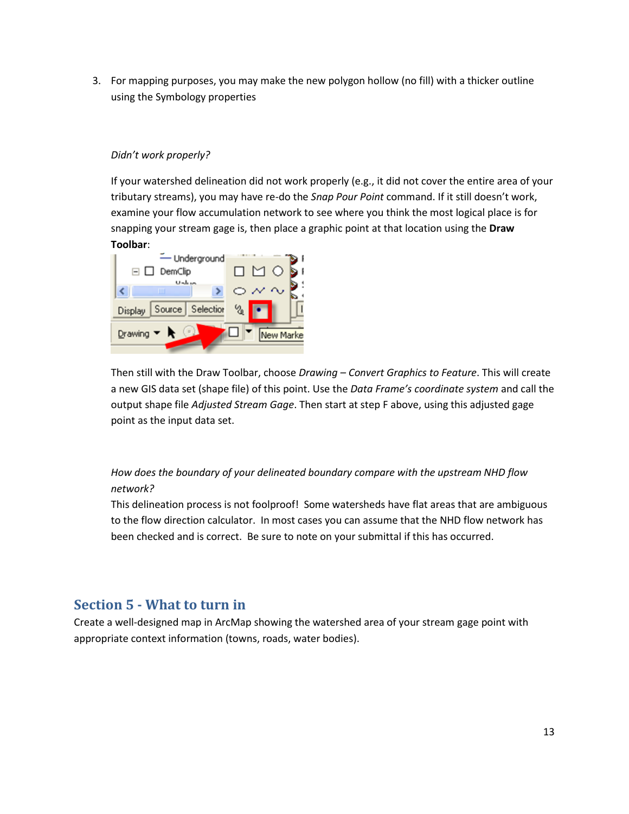3. For mapping purposes, you may make the new polygon hollow (no fill) with a thicker outline using the Symbology properties

#### *Didn't work properly?*

If your watershed delineation did not work properly (e.g., it did not cover the entire area of your tributary streams), you may have re-do the *Snap Pour Point* command. If it still doesn't work, examine your flow accumulation network to see where you think the most logical place is for snapping your stream gage is, then place a graphic point at that location using the **Draw Toolbar**:



Then still with the Draw Toolbar, choose *Drawing – Convert Graphics to Feature*. This will create a new GIS data set (shape file) of this point. Use the *Data Frame's coordinate system* and call the output shape file *Adjusted Stream Gage*. Then start at step F above, using this adjusted gage point as the input data set.

### *How does the boundary of your delineated boundary compare with the upstream NHD flow network?*

This delineation process is not foolproof! Some watersheds have flat areas that are ambiguous to the flow direction calculator. In most cases you can assume that the NHD flow network has been checked and is correct. Be sure to note on your submittal if this has occurred.

## <span id="page-12-0"></span>**Section 5 - What to turn in**

Create a well-designed map in ArcMap showing the watershed area of your stream gage point with appropriate context information (towns, roads, water bodies).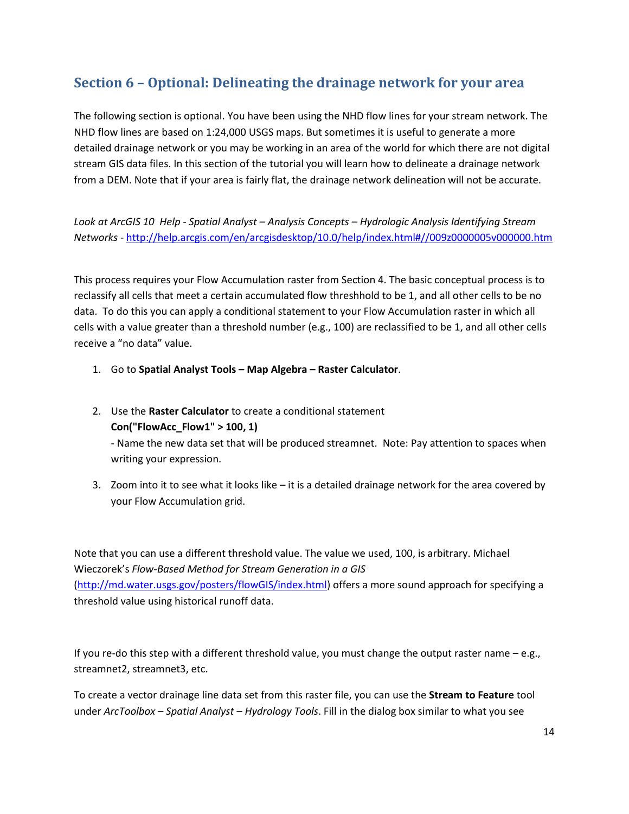# <span id="page-13-0"></span>**Section 6 – Optional: Delineating the drainage network for your area**

The following section is optional. You have been using the NHD flow lines for your stream network. The NHD flow lines are based on 1:24,000 USGS maps. But sometimes it is useful to generate a more detailed drainage network or you may be working in an area of the world for which there are not digital stream GIS data files. In this section of the tutorial you will learn how to delineate a drainage network from a DEM. Note that if your area is fairly flat, the drainage network delineation will not be accurate.

*Look at ArcGIS 10 Help - Spatial Analyst – Analysis Concepts – Hydrologic Analysis Identifying Stream Networks* - <http://help.arcgis.com/en/arcgisdesktop/10.0/help/index.html#//009z0000005v000000.htm>

This process requires your Flow Accumulation raster from Section 4. The basic conceptual process is to reclassify all cells that meet a certain accumulated flow threshhold to be 1, and all other cells to be no data. To do this you can apply a conditional statement to your Flow Accumulation raster in which all cells with a value greater than a threshold number (e.g., 100) are reclassified to be 1, and all other cells receive a "no data" value.

- 1. Go to **Spatial Analyst Tools – Map Algebra – Raster Calculator**.
- 2. Use the **Raster Calculator** to create a conditional statement **Con("FlowAcc\_Flow1" > 100, 1)** - Name the new data set that will be produced streamnet. Note: Pay attention to spaces when

writing your expression.

3. Zoom into it to see what it looks like – it is a detailed drainage network for the area covered by your Flow Accumulation grid.

Note that you can use a different threshold value. The value we used, 100, is arbitrary. Michael Wieczorek's *Flow-Based Method for Stream Generation in a GIS* [\(http://md.water.usgs.gov/posters/flowGIS/index.html\)](http://md.water.usgs.gov/posters/flowGIS/index.html) offers a more sound approach for specifying a threshold value using historical runoff data.

If you re-do this step with a different threshold value, you must change the output raster name – e.g., streamnet2, streamnet3, etc.

To create a vector drainage line data set from this raster file, you can use the **Stream to Feature** tool under *ArcToolbox – Spatial Analyst – Hydrology Tools*. Fill in the dialog box similar to what you see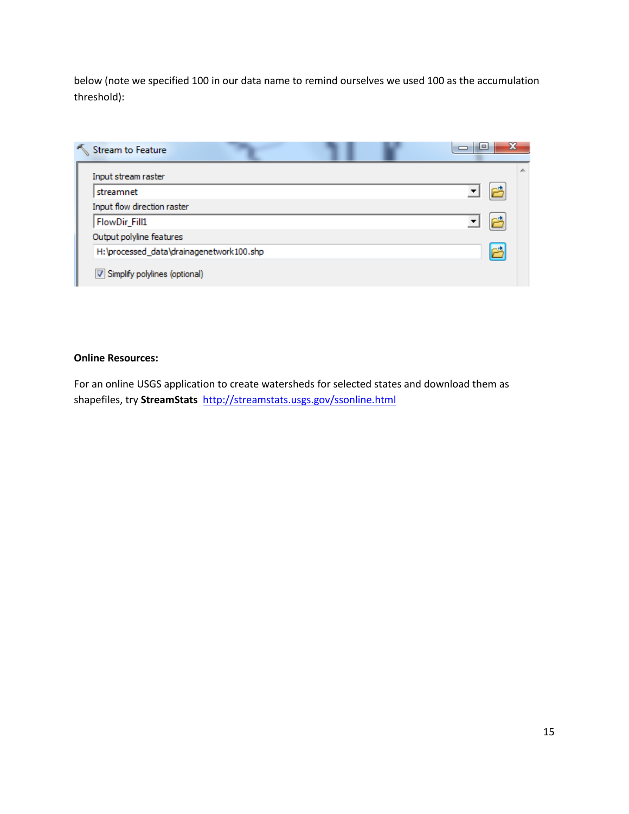below (note we specified 100 in our data name to remind ourselves we used 100 as the accumulation threshold):

| Stream to Feature                        | X<br>▭ |
|------------------------------------------|--------|
| Input stream raster                      |        |
| streamnet                                |        |
| Input flow direction raster              |        |
| FlowDir_Fill1                            |        |
| Output polyline features                 |        |
| H:\processed_data\drainagenetwork100.shp |        |
| Simplify polylines (optional)            |        |

#### **Online Resources:**

For an online USGS application to create watersheds for selected states and download them as shapefiles, try **StreamStats** <http://streamstats.usgs.gov/ssonline.html>